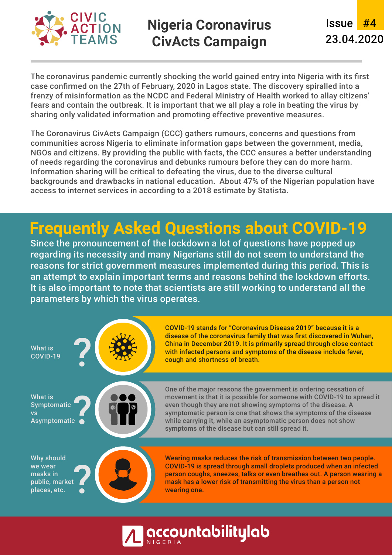

## **Nigeria Coronavirus CivActs Campaign**

<u>Issue</u> #4 23.04.2020

The coronavirus pandemic currently shocking the world gained entry into Nigeria with its first case confirmed on the 27th of February, 2020 in Lagos state. The discovery spiralled into a frenzy of misinformation as the NCDC and Federal Ministry of Health worked to allay citizens' fears and contain the outbreak. It is important that we all play a role in beating the virus by sharing only validated information and promoting effective preventive measures.

The Coronavirus CivActs Campaign (CCC) gathers rumours, concerns and questions from communities across Nigeria to eliminate information gaps between the government, media, NGOs and citizens. By providing the public with facts, the CCC ensures a better understanding of needs regarding the coronavirus and debunks rumours before they can do more harm. Information sharing will be critical to defeating the virus, due to the diverse cultural backgrounds and drawbacks in national education. About 47% of the Nigerian population have access to internet services in according to a 2018 estimate by Statista.

# **Frequently Asked Questions about COVID-19**

Since the pronouncement of the lockdown a lot of questions have popped up regarding its necessity and many Nigerians still do not seem to understand the reasons for strict government measures implemented during this period. This is an attempt to explain important terms and reasons behind the lockdown efforts. It is also important to note that scientists are still working to understand all the parameters by which the virus operates.



**accountabilitylab**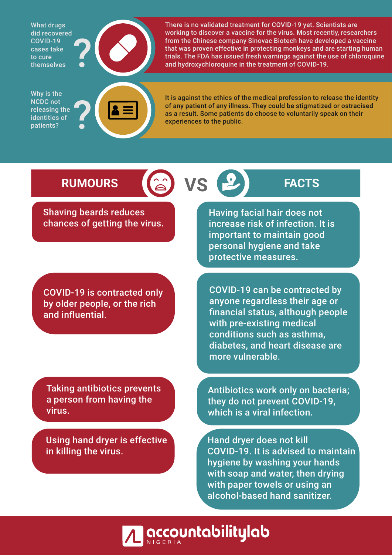What drugs did recovered COVID-19 cases take to cure themselves



There is no validated treatment for COVID-19 yet. Scientists are working to discover a vaccine for the virus. Most recently, researchers from the Chinese company Sinovac Biotech have developed a vaccine that was proven effective in protecting monkeys and are starting human trials. The FDA has issued fresh warnings against the use of chloroquine and hydroxychloroquine in the treatment of COVID-19.

Why is the NCDC not releasing the identities of patients?



It is against the ethics of the medical profession to release the identity of any patient of any illness. They could be stigmatized or ostracised as a result. Some patients do choose to voluntarily speak on their experiences to the public.

## **RUMOURS (a) VS FACTS**

Shaving beards reduces chances of getting the virus.

COVID-19 is contracted only by older people, or the rich and influential.

Taking antibiotics prevents a person from having the virus.

Using hand dryer is effective in killing the virus.

Having facial hair does not increase risk of infection. It is important to maintain good personal hygiene and take protective measures.

COVID-19 can be contracted by anyone regardless their age or financial status, although people with pre-existing medical conditions such as asthma, diabetes, and heart disease are more vulnerable.

Antibiotics work only on bacteria; they do not prevent COVID-19, which is a viral infection.

Hand dryer does not kill COVID-19. It is advised to maintain hygiene by washing your hands with soap and water, then drying with paper towels or using an alcohol-based hand sanitizer.

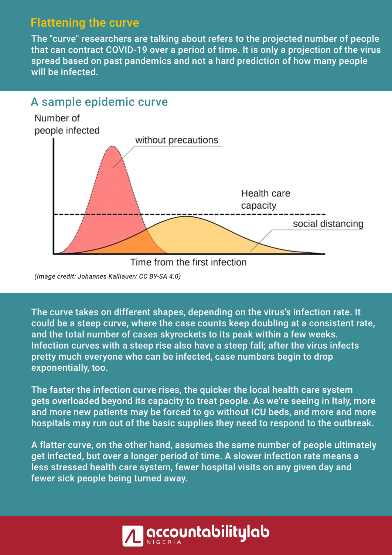### Flattening the curve

The "curve" researchers are talking about refers to the projected number of people that can contract COVID-19 over a period of time. It is only a projection of the virus spread based on past pandemics and not a hard prediction of how many people will be infected.



*(Image credit: Johannes Kalliauer/ CC BY-SA 4.0)*

The curve takes on different shapes, depending on the virus's infection rate. It could be a steep curve, where the case counts keep doubling at a consistent rate, and the total number of cases skyrockets to its peak within a few weeks. Infection curves with a steep rise also have a steep fall; after the virus infects pretty much everyone who can be infected, case numbers begin to drop exponentially, too.

The faster the infection curve rises, the quicker the local health care system gets overloaded beyond its capacity to treat people. As we're seeing in Italy, more and more new patients may be forced to go without ICU beds, and more and more hospitals may run out of the basic supplies they need to respond to the outbreak.

A flatter curve, on the other hand, assumes the same number of people ultimately get infected, but over a longer period of time. A slower infection rate means a less stressed health care system, fewer hospital visits on any given day and fewer sick people being turned away.